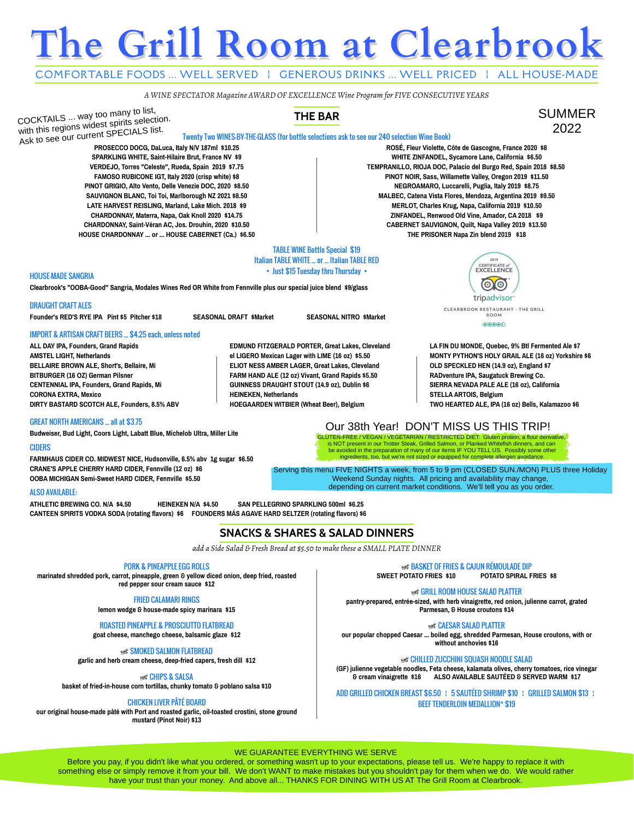# **The Grill Room at Clearbrook**

COMFORTABLE FOODS ... WELL SERVED ¦ GENEROUS DRINKS ... WELL PRICED ¦ ALL HOUSE-MADE

*A WINE SPECTATOR Magazine AWARD OF EXCELLENCE Wine Program for FIVE CONSECUTIVE YEARS*

COCKTAILS ... way too many to list,<br>with this regions widest spirits selection.

**THE BAR**

SUMMER 2022

Twenty Two WINES-BY-THE-GLASS (for bottle selections ask to see our 240 selection Wine Book) **PROSECCO DOCG, DaLuca, Italy N/V 187ml \$10.25 ROSÉ, Fleur Violette, Côte de Gascogne, France 2020 \$8**

SPARKLING WHITE, Saint-Hilaire Brut, France NV \$9 **WEITE ZINFANDEL, Sycamore Lane, California \$6.50 VERDEJO, Torres "Celeste", Rueda, Spain 2019 \$7.75 TEMPRANILLO, RIOJA DOC, Palacio del Burgo Red, Spain 2018 \$8.50 FAMOSO RUBICONE IGT, Italy 2020 (crisp white) \$8 PINOT NOIR, Sass, Willamette Valley, Oregon 2019 \$11.50 PINOT GRIGIO, Alto Vento, Delle Venezie DOC, 2020 \$8.50 NEGROAMARO, Luccarelli, Puglia, Italy 2019 \$8.75 SAUVIGNON BLANC, Toi Toi, Marlborough NZ 2021 \$8.50 MALBEC, Catena Vista Flores, Mendoza, Argentina 2019 \$9.50 LATE HARVEST REISLING, Marland, Lake Mich. 2018 \$9 MERLOT, Charles Krug, Napa, California 2019 \$10.50 CHARDONNAY, Materra, Napa, Oak Knoll 2020 \$14.75 ZINFANDEL, Renwood Old Vine, Amador, CA 2018 \$9 CHARDONNAY, Saint-Véran AC, Jos. Drouhin, 2020 \$10.50 CABERNET SAUVIGNON, Quilt, Napa Valley 2019 \$13.50 HOUSE CHARDONNAY ... or ... HOUSE CABERNET (Ca.) \$6.50 THE PRISONER Napa Zin blend 2019 \$18**

### TABLE WINE Bottle Special \$19 Italian TABLE WHITE ... or ... Italian TABLE RED • Just \$15 Tuesday thru Thursday • HOUSE-MADE SANGRIA

**Clearbrook's "OOBA-Good" Sangria, Modales Wines Red OR White from Fennville plus our special juice blend \$9/glass**

### DRAUGHT CRAFT ALES

**Founder's RED'S RYE IPA Pint \$5 Pitcher \$18 SEASONAL DRAFT \$Market SEASONAL NITRO \$Market**

IMPORT & ARTISAN CRAFT BEERS ... \$4.25 each, unless noted

# **ALL DAY IPA, Founders, Grand Rapids EDMUND FITZGERALD PORTER, Great Lakes, Cleveland LA FIN DU MONDE, Quebec, 9% Btl Fermented Ale \$7** BELLAIRE BROWN ALE, Short's, Bellaire, Mi **interval and the CELIOT NESS AMBER LAGER**, Great Lakes, Cleveland<br>BITBURGER (16 OZ) German Pilsner New Interval on the FARM HAND ALE (12 oz) Vivant. Grand Rapids \$5.50 RADventure **FARM HAND ALE (12 oz) Vivant, Grand Rapids \$5.50 RADventure IPA, Saugatuck Brewing Co. CENTENNIAL IPA, Founders, Grand Rapids, Mi GUINNESS DRAUGHT STOUT (14.9 oz), Dublin \$6 SIERRA NEVADA PALE ALE (16 oz), California CORONA EXTRA, Mexico HEINEKEN, Netherlands STELLA ARTOIS, Belgium**

**DIRTY BASTARD SCOTCH ALE, Founders, 8.5% ABV HOEGAARDEN WITBIER (Wheat Beer), Belgium TWO HEARTED ALE, IPA (16 oz) Bells, Kalamazoo \$6**

### GREAT NORTH AMERICANS ... all at \$3.75

**Budweiser, Bud Light, Coors Light, Labatt Blue, Michelob Ultra, Miller Lite**

### CIDERS

**FARMHAUS CIDER CO. MIDWEST NICE, Hudsonville, 6.5% abv 1g sugar \$6.50 CRANE'S APPLE CHERRY HARD CIDER, Fennville (12 oz) \$6 OOBA MICHIGAN Semi-Sweet HARD CIDER, Fennville \$5.50**

ALSO AVAILABLE:

**ATHLETIC BREWING CO. N/A \$4.50 HEINEKEN N/A \$4.50 SAN PELLEGRINO SPARKLING 500ml \$6.25 CANTEEN SPIRITS VODKA SODA (rotating flavors) \$6 FOUNDERS MÁS AGAVE HARD SELTZER (rotating flavors) \$6**

# **SNACKS & SHARES & SALAD DINNERS**

*add a Side Salad & Fresh Bread at \$5.50 to make these a SMALL PLATE DINNER*

### PORK & PINEAPPLE EGG ROLLS

**marinated shredded pork, carrot, pineapple, green & yellow diced onion, deep fried, roasted red pepper sour cream sauce \$12**

> FRIED CALAMARI RINGS **lemon wedge & house-made spicy marinara \$15**

ROASTED PINEAPPLE & PROSCIUTTO FLATBREAD **goat cheese, manchego cheese, balsamic glaze \$12**

**SMOKED SALMON FLATBREAD garlic and herb cream cheese, deep-fried capers, fresh dill \$12** À CHILLED ZUCCHINI SQUASH NOODLE SALAD

**basket of fried-in-house corn tortillas, chunky tomato & poblano salsa \$10**

**our original house-made pâté with Port and roasted garlic, oil-toasted crostini, stone ground mustard (Pinot Noir) \$13**

À BASKET OF FRIES & CAJUN RÉMOULADE DIP **SWEET POTATO FRIES \$10** 

**GRILL ROOM HOUSE SALAD PLATTER** 

**pantry-prepared, entrée-sized, with herb vinaigrette, red onion, julienne carrot, grated Parmesan, & House croutons \$14**

**CAESAR SALAD PLATTER** 

**our popular chopped Caesar ... boiled egg, shredded Parmesan, House croutons, with or without anchovies \$16**

**(GF) julienne vegetable noodles, Feta cheese, kalamata olives, cherry tomatoes, rice vinegar A CHIPS & SALSA <b>EXECUTE BE** CHIPS & SALSA **ALLSO AVAILABLE SAUTÉED & SERVED WARM \$17** 

ADD GRILLED CHICKEN BREAST \$6.50 | 5 SAUTÉED SHRIMP \$10 | GRILLED SALMON \$13 | CHICKEN LIVER PÂTÉ BOARD DE LA BOARD DE LA BOARD DE LA BOARD DE LA BOARD BEEF TENDERLOIN MEDALLION\* \$19

WE GUARANTEE EVERYTHING WE SERVE

Before you pay, if you didn't like what you ordered, or something wasn't up to your expectations, please tell us. We're happy to replace it with something else or simply remove it from your bill. We don't WANT to make mistakes but you shouldn't pay for them when we do. We would rather have your trust than your money. And above all... THANKS FOR DINING WITH US AT The Grill Room at Clearbrook.



CLEARBROOK RESTAURANT - THE GRILL **ROOM** രരരേഖ

**AMSTEL LIGHT, Netherlands el LIGERO Mexican Lager with LIME (16 oz) \$5.50 MONTY PYTHON'S HOLY GRAIL ALE (16 oz) Yorkshire \$6**

# Our 38th Year! DON'T MISS US THIS TRIP!

GLUTEN-FREE / VEGAN / VEGETARIAN / RESTRICTED DIET: Gluten protein, a flour derivative, is NOT present in our Trotter Steak, Grilled Salmon, or Planked Whitefish dinners, and can<br>be avoided in the preparation of many of our items IF YOU TELL US. Possibly some other<br>........ingredients, too, but we're not size

Serving this menu FIVE NIGHTS a week, from 5 to 9 pm (CLOSED SUN./MON) PLUS three Holiday Weekend Sunday nights. All pricing and availability may change, depending on current market conditions. We'll tell you as you order.